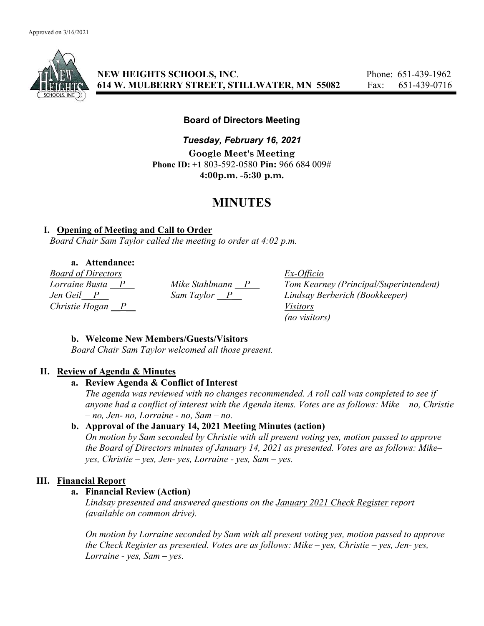

NEW HEIGHTS SCHOOLS, INC. Phone: 651-439-1962 614 W. MULBERRY STREET, STILLWATER, MN 55082 Fax: 651-439-0716

## Board of Directors Meeting

Tuesday, February 16, 2021 Google Meet's Meeting Phone ID: +1 803-592-0580 Pin: 966 684 009# 4:00p.m. -5:30 p.m.

# MINUTES

## I. Opening of Meeting and Call to Order

Board Chair Sam Taylor called the meeting to order at 4:02 p.m.

a. Attendance:

Board of Directors Ex-Officio Christie Hogan  $\overline{P}$  Visitors

Mike Stahlmann  $\underline{P}$  Tom Kearney (Principal/Superintendent)<br>Sam Taylor  $\underline{P}$  Lindsay Berberich (Bookkeeper) Jen Geil P Sam Taylor P Lindsay Berberich (Bookkeeper) (no visitors)

# b. Welcome New Members/Guests/Visitors

Board Chair Sam Taylor welcomed all those present.

# II. Review of Agenda & Minutes

## a. Review Agenda & Conflict of Interest

The agenda was reviewed with no changes recommended. A roll call was completed to see if anyone had a conflict of interest with the Agenda items. Votes are as follows: Mike – no, Christie  $- no$ , Jen- no, Lorraine - no, Sam  $- no$ .

# b. Approval of the January 14, 2021 Meeting Minutes (action)

On motion by Sam seconded by Christie with all present voting yes, motion passed to approve the Board of Directors minutes of January 14, 2021 as presented. Votes are as follows: Mike– yes, Christie – yes, Jen- yes, Lorraine - yes, Sam – yes.

# III. Financial Report

## a. Financial Review (Action)

Lindsay presented and answered questions on the January 2021 Check Register report (available on common drive).

On motion by Lorraine seconded by Sam with all present voting yes, motion passed to approve the Check Register as presented. Votes are as follows: Mike – yes, Christie – yes, Jen- yes, Lorraine - yes,  $Sam - yes$ .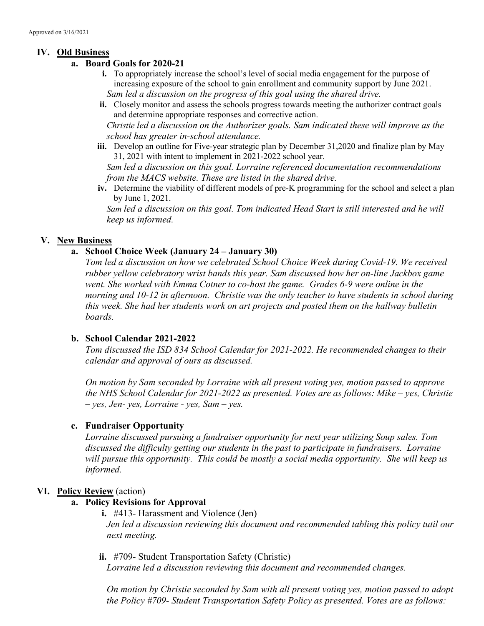## IV. Old Business

## a. Board Goals for 2020-21

- i. To appropriately increase the school's level of social media engagement for the purpose of increasing exposure of the school to gain enrollment and community support by June 2021. Sam led a discussion on the progress of this goal using the shared drive.
- ii. Closely monitor and assess the schools progress towards meeting the authorizer contract goals and determine appropriate responses and corrective action.

Christie led a discussion on the Authorizer goals. Sam indicated these will improve as the school has greater in-school attendance.

iii. Develop an outline for Five-year strategic plan by December 31,2020 and finalize plan by May 31, 2021 with intent to implement in 2021-2022 school year.

Sam led a discussion on this goal. Lorraine referenced documentation recommendations from the MACS website. These are listed in the shared drive.

iv. Determine the viability of different models of pre-K programming for the school and select a plan by June 1, 2021.

Sam led a discussion on this goal. Tom indicated Head Start is still interested and he will keep us informed.

## V. New Business

## a. School Choice Week (January 24 – January 30)

Tom led a discussion on how we celebrated School Choice Week during Covid-19. We received rubber yellow celebratory wrist bands this year. Sam discussed how her on-line Jackbox game went. She worked with Emma Cotner to co-host the game. Grades 6-9 were online in the morning and 10-12 in afternoon. Christie was the only teacher to have students in school during this week. She had her students work on art projects and posted them on the hallway bulletin boards.

## b. School Calendar 2021-2022

Tom discussed the ISD 834 School Calendar for 2021-2022. He recommended changes to their calendar and approval of ours as discussed.

On motion by Sam seconded by Lorraine with all present voting yes, motion passed to approve the NHS School Calendar for 2021-2022 as presented. Votes are as follows: Mike – yes, Christie  $- yes$ , Jen- yes, Lorraine - yes, Sam - yes.

## c. Fundraiser Opportunity

Lorraine discussed pursuing a fundraiser opportunity for next year utilizing Soup sales. Tom discussed the difficulty getting our students in the past to participate in fundraisers. Lorraine will pursue this opportunity. This could be mostly a social media opportunity. She will keep us informed.

## VI. Policy Review (action)

## a. Policy Revisions for Approval

- i. #413- Harassment and Violence (Jen) Jen led a discussion reviewing this document and recommended tabling this policy tutil our next meeting.
- ii. #709- Student Transportation Safety (Christie)

Lorraine led a discussion reviewing this document and recommended changes.

On motion by Christie seconded by Sam with all present voting yes, motion passed to adopt the Policy #709- Student Transportation Safety Policy as presented. Votes are as follows: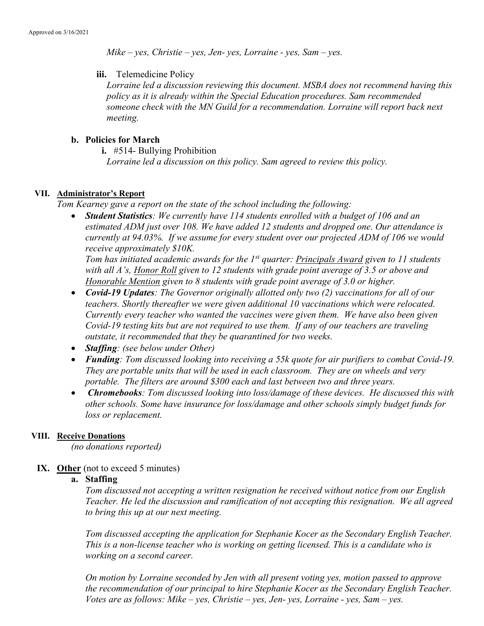$Mike - yes$ , Christie – yes, Jen- yes, Lorraine - yes, Sam – yes.

iii. Telemedicine Policy

Lorraine led a discussion reviewing this document. MSBA does not recommend having this policy as it is already within the Special Education procedures. Sam recommended someone check with the MN Guild for a recommendation. Lorraine will report back next meeting.

## b. Policies for March

i. #514- Bullying Prohibition

Lorraine led a discussion on this policy. Sam agreed to review this policy.

## VII. Administrator's Report

Tom Kearney gave a report on the state of the school including the following:

Student Statistics: We currently have 114 students enrolled with a budget of 106 and an estimated ADM just over 108. We have added 12 students and dropped one. Our attendance is currently at 94.03%. If we assume for every student over our projected ADM of 106 we would receive approximately \$10K.

Tom has initiated academic awards for the  $1<sup>st</sup>$  quarter: Principals Award given to 11 students with all A's, Honor Roll given to 12 students with grade point average of 3.5 or above and Honorable Mention given to 8 students with grade point average of 3.0 or higher.

- Covid-19 Updates: The Governor originally allotted only two (2) vaccinations for all of our teachers. Shortly thereafter we were given additional 10 vaccinations which were relocated. Currently every teacher who wanted the vaccines were given them. We have also been given Covid-19 testing kits but are not required to use them. If any of our teachers are traveling outstate, it recommended that they be quarantined for two weeks.
- Staffing: (see below under Other)
- Funding: Tom discussed looking into receiving a 55k quote for air purifiers to combat Covid-19. They are portable units that will be used in each classroom. They are on wheels and very portable. The filters are around \$300 each and last between two and three years.
- Chromebooks: Tom discussed looking into loss/damage of these devices. He discussed this with other schools. Some have insurance for loss/damage and other schools simply budget funds for loss or replacement.

#### VIII. Receive Donations

(no donations reported)

IX. Other (not to exceed 5 minutes)

#### a. Staffing

Tom discussed not accepting a written resignation he received without notice from our English Teacher. He led the discussion and ramification of not accepting this resignation. We all agreed to bring this up at our next meeting.

Tom discussed accepting the application for Stephanie Kocer as the Secondary English Teacher. This is a non-license teacher who is working on getting licensed. This is a candidate who is working on a second career.

On motion by Lorraine seconded by Jen with all present voting yes, motion passed to approve the recommendation of our principal to hire Stephanie Kocer as the Secondary English Teacher. Votes are as follows: Mike – yes, Christie – yes, Jen- yes, Lorraine - yes, Sam – yes.